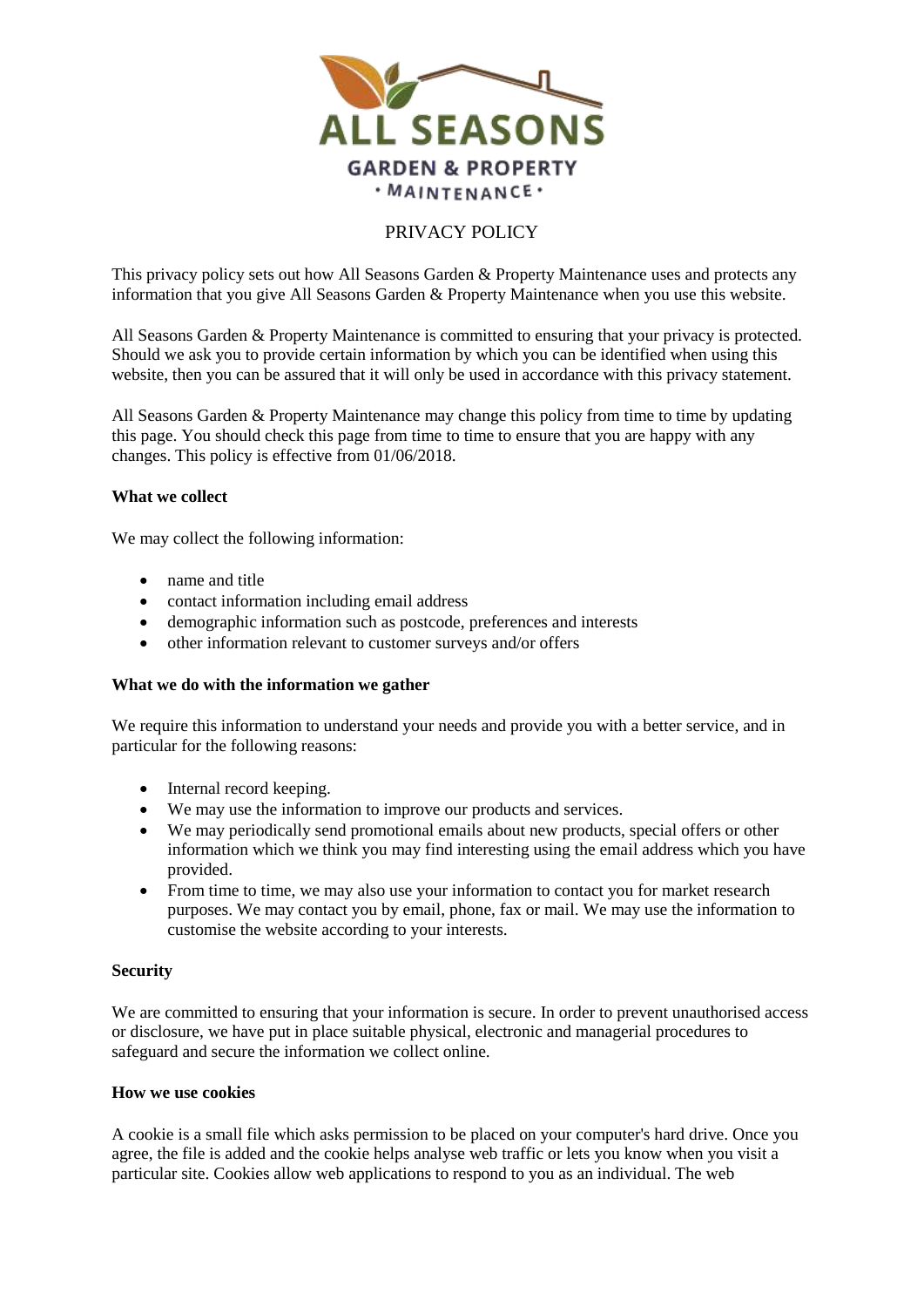

# PRIVACY POLICY

This privacy policy sets out how All Seasons Garden & Property Maintenance uses and protects any information that you give All Seasons Garden & Property Maintenance when you use this website.

All Seasons Garden & Property Maintenance is committed to ensuring that your privacy is protected. Should we ask you to provide certain information by which you can be identified when using this website, then you can be assured that it will only be used in accordance with this privacy statement.

All Seasons Garden & Property Maintenance may change this policy from time to time by updating this page. You should check this page from time to time to ensure that you are happy with any changes. This policy is effective from 01/06/2018.

#### **What we collect**

We may collect the following information:

- name and title
- contact information including email address
- demographic information such as postcode, preferences and interests
- other information relevant to customer surveys and/or offers

## **What we do with the information we gather**

We require this information to understand your needs and provide you with a better service, and in particular for the following reasons:

- Internal record keeping.
- We may use the information to improve our products and services.
- We may periodically send promotional emails about new products, special offers or other information which we think you may find interesting using the email address which you have provided.
- From time to time, we may also use your information to contact you for market research purposes. We may contact you by email, phone, fax or mail. We may use the information to customise the website according to your interests.

## **Security**

We are committed to ensuring that your information is secure. In order to prevent unauthorised access or disclosure, we have put in place suitable physical, electronic and managerial procedures to safeguard and secure the information we collect online.

## **How we use cookies**

A cookie is a small file which asks permission to be placed on your computer's hard drive. Once you agree, the file is added and the cookie helps analyse web traffic or lets you know when you visit a particular site. Cookies allow web applications to respond to you as an individual. The web